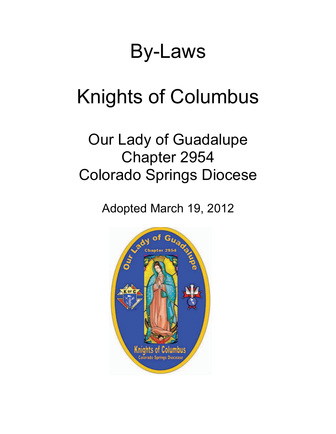## By-Laws

# Knights of Columbus

### Our Lady of Guadalupe Chapter 2954 Colorado Springs Diocese

Adopted March 19, 2012

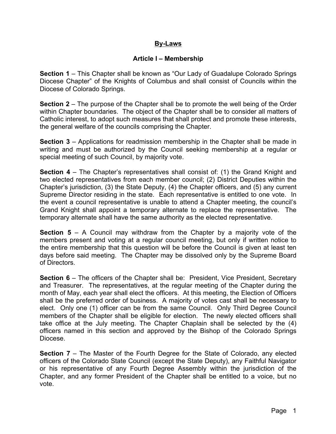#### **By-Laws**

#### **Article I – Membership**

**Section 1** – This Chapter shall be known as "Our Lady of Guadalupe Colorado Springs Diocese Chapter" of the Knights of Columbus and shall consist of Councils within the Diocese of Colorado Springs.

**Section 2** – The purpose of the Chapter shall be to promote the well being of the Order within Chapter boundaries. The object of the Chapter shall be to consider all matters of Catholic interest, to adopt such measures that shall protect and promote these interests, the general welfare of the councils comprising the Chapter.

**Section 3** – Applications for readmission membership in the Chapter shall be made in writing and must be authorized by the Council seeking membership at a regular or special meeting of such Council, by majority vote.

**Section 4** – The Chapter's representatives shall consist of: (1) the Grand Knight and two elected representatives from each member council; (2) District Deputies within the Chapter's jurisdiction, (3) the State Deputy, (4) the Chapter officers, and (5) any current Supreme Director residing in the state. Each representative is entitled to one vote. In the event a council representative is unable to attend a Chapter meeting, the council's Grand Knight shall appoint a temporary alternate to replace the representative. The temporary alternate shall have the same authority as the elected representative.

**Section 5** – A Council may withdraw from the Chapter by a majority vote of the members present and voting at a regular council meeting, but only if written notice to the entire membership that this question will be before the Council is given at least ten days before said meeting. The Chapter may be dissolved only by the Supreme Board of Directors.

**Section 6** – The officers of the Chapter shall be: President, Vice President, Secretary and Treasurer. The representatives, at the regular meeting of the Chapter during the month of May, each year shall elect the officers. At this meeting, the Election of Officers shall be the preferred order of business. A majority of votes cast shall be necessary to elect. Only one (1) officer can be from the same Council. Only Third Degree Council members of the Chapter shall be eligible for election. The newly elected officers shall take office at the July meeting. The Chapter Chaplain shall be selected by the (4) officers named in this section and approved by the Bishop of the Colorado Springs Diocese.

**Section 7** – The Master of the Fourth Degree for the State of Colorado, any elected officers of the Colorado State Council (except the State Deputy), any Faithful Navigator or his representative of any Fourth Degree Assembly within the jurisdiction of the Chapter, and any former President of the Chapter shall be entitled to a voice, but no vote.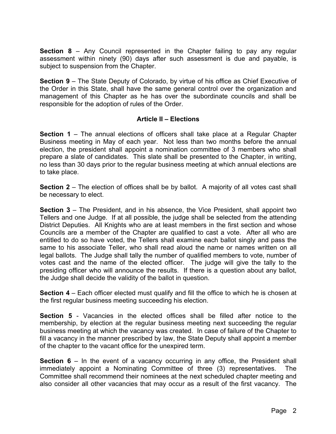**Section 8** – Any Council represented in the Chapter failing to pay any regular assessment within ninety (90) days after such assessment is due and payable, is subject to suspension from the Chapter.

**Section 9** – The State Deputy of Colorado, by virtue of his office as Chief Executive of the Order in this State, shall have the same general control over the organization and management of this Chapter as he has over the subordinate councils and shall be responsible for the adoption of rules of the Order.

#### **Article II – Elections**

**Section 1** – The annual elections of officers shall take place at a Regular Chapter Business meeting in May of each year. Not less than two months before the annual election, the president shall appoint a nomination committee of 3 members who shall prepare a slate of candidates. This slate shall be presented to the Chapter, in writing, no less than 30 days prior to the regular business meeting at which annual elections are to take place.

**Section 2** – The election of offices shall be by ballot. A majority of all votes cast shall be necessary to elect.

**Section 3** – The President, and in his absence, the Vice President, shall appoint two Tellers and one Judge. If at all possible, the judge shall be selected from the attending District Deputies. All Knights who are at least members in the first section and whose Councils are a member of the Chapter are qualified to cast a vote. After all who are entitled to do so have voted, the Tellers shall examine each ballot singly and pass the same to his associate Teller, who shall read aloud the name or names written on all legal ballots. The Judge shall tally the number of qualified members to vote, number of votes cast and the name of the elected officer. The judge will give the tally to the presiding officer who will announce the results. If there is a question about any ballot, the Judge shall decide the validity of the ballot in question.

**Section 4** – Each officer elected must qualify and fill the office to which he is chosen at the first regular business meeting succeeding his election.

**Section 5** - Vacancies in the elected offices shall be filled after notice to the membership, by election at the regular business meeting next succeeding the regular business meeting at which the vacancy was created. In case of failure of the Chapter to fill a vacancy in the manner prescribed by law, the State Deputy shall appoint a member of the chapter to the vacant office for the unexpired term.

**Section 6** – In the event of a vacancy occurring in any office, the President shall immediately appoint a Nominating Committee of three (3) representatives. The Committee shall recommend their nominees at the next scheduled chapter meeting and also consider all other vacancies that may occur as a result of the first vacancy. The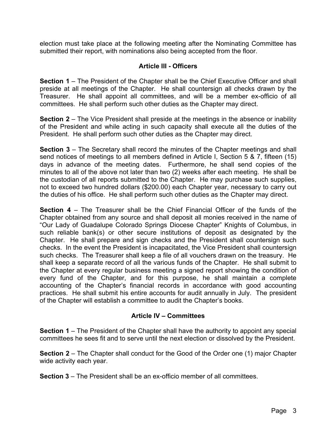election must take place at the following meeting after the Nominating Committee has submitted their report, with nominations also being accepted from the floor.

#### **Article III - Officers**

**Section 1** – The President of the Chapter shall be the Chief Executive Officer and shall preside at all meetings of the Chapter. He shall countersign all checks drawn by the Treasurer. He shall appoint all committees, and will be a member ex-officio of all committees. He shall perform such other duties as the Chapter may direct.

**Section 2** – The Vice President shall preside at the meetings in the absence or inability of the President and while acting in such capacity shall execute all the duties of the President. He shall perform such other duties as the Chapter may direct.

**Section 3** – The Secretary shall record the minutes of the Chapter meetings and shall send notices of meetings to all members defined in Article I, Section 5 & 7, fifteen (15) days in advance of the meeting dates. Furthermore, he shall send copies of the minutes to all of the above not later than two (2) weeks after each meeting. He shall be the custodian of all reports submitted to the Chapter. He may purchase such supplies, not to exceed two hundred dollars (\$200.00) each Chapter year, necessary to carry out the duties of his office. He shall perform such other duties as the Chapter may direct.

**Section 4** – The Treasurer shall be the Chief Financial Officer of the funds of the Chapter obtained from any source and shall deposit all monies received in the name of "Our Lady of Guadalupe Colorado Springs Diocese Chapter" Knights of Columbus, in such reliable bank(s) or other secure institutions of deposit as designated by the Chapter. He shall prepare and sign checks and the President shall countersign such checks. In the event the President is incapacitated, the Vice President shall countersign such checks. The Treasurer shall keep a file of all vouchers drawn on the treasury. He shall keep a separate record of all the various funds of the Chapter. He shall submit to the Chapter at every regular business meeting a signed report showing the condition of every fund of the Chapter, and for this purpose, he shall maintain a complete accounting of the Chapter's financial records in accordance with good accounting practices. He shall submit his entire accounts for audit annually in July. The president of the Chapter will establish a committee to audit the Chapter's books.

#### **Article IV – Committees**

**Section 1** – The President of the Chapter shall have the authority to appoint any special committees he sees fit and to serve until the next election or dissolved by the President.

**Section 2** – The Chapter shall conduct for the Good of the Order one (1) major Chapter wide activity each year.

**Section 3** – The President shall be an ex-officio member of all committees.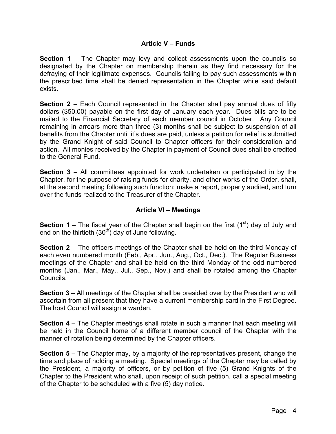#### **Article V – Funds**

**Section 1** – The Chapter may levy and collect assessments upon the councils so designated by the Chapter on membership therein as they find necessary for the defraying of their legitimate expenses. Councils failing to pay such assessments within the prescribed time shall be denied representation in the Chapter while said default exists.

**Section 2** – Each Council represented in the Chapter shall pay annual dues of fifty dollars (\$50.00) payable on the first day of January each year. Dues bills are to be mailed to the Financial Secretary of each member council in October. Any Council remaining in arrears more than three (3) months shall be subject to suspension of all benefits from the Chapter until it's dues are paid, unless a petition for relief is submitted by the Grand Knight of said Council to Chapter officers for their consideration and action. All monies received by the Chapter in payment of Council dues shall be credited to the General Fund.

**Section 3** – All committees appointed for work undertaken or participated in by the Chapter, for the purpose of raising funds for charity, and other works of the Order, shall, at the second meeting following such function: make a report, properly audited, and turn over the funds realized to the Treasurer of the Chapter.

#### **Article VI – Meetings**

**Section 1** – The fiscal year of the Chapter shall begin on the first  $(1^{st})$  day of July and end on the thirtieth  $(30<sup>th</sup>)$  day of June following.

**Section 2** – The officers meetings of the Chapter shall be held on the third Monday of each even numbered month (Feb., Apr., Jun., Aug., Oct., Dec.). The Regular Business meetings of the Chapter and shall be held on the third Monday of the odd numbered months (Jan., Mar., May., Jul., Sep., Nov.) and shall be rotated among the Chapter Councils.

**Section 3** – All meetings of the Chapter shall be presided over by the President who will ascertain from all present that they have a current membership card in the First Degree. The host Council will assign a warden.

**Section 4** – The Chapter meetings shall rotate in such a manner that each meeting will be held in the Council home of a different member council of the Chapter with the manner of rotation being determined by the Chapter officers.

**Section 5** – The Chapter may, by a majority of the representatives present, change the time and place of holding a meeting. Special meetings of the Chapter may be called by the President, a majority of officers, or by petition of five (5) Grand Knights of the Chapter to the President who shall, upon receipt of such petition, call a special meeting of the Chapter to be scheduled with a five (5) day notice.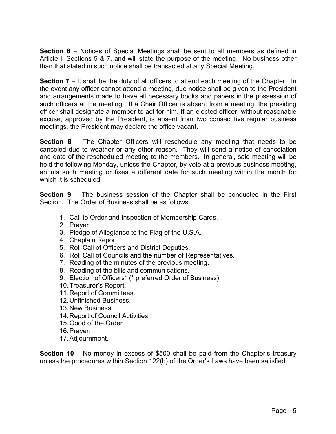**Section 6** – Notices of Special Meetings shall be sent to all members as defined in Article I, Sections 5 & 7, and will state the purpose of the meeting. No business other than that stated in such notice shall be transacted at any Special Meeting.

**Section 7** – It shall be the duty of all officers to attend each meeting of the Chapter. In the event any officer cannot attend a meeting, due notice shall be given to the President and arrangements made to have all necessary books and papers in the possession of such officers at the meeting. If a Chair Officer is absent from a meeting, the presiding officer shall designate a member to act for him. If an elected officer, without reasonable excuse, approved by the President, is absent from two consecutive regular business meetings, the President may declare the office vacant.

**Section 8** – The Chapter Officers will reschedule any meeting that needs to be canceled due to weather or any other reason. They will send a notice of cancelation and date of the rescheduled meeting to the members. In general, said meeting will be held the following Monday, unless the Chapter, by vote at a previous business meeting, annuls such meeting or fixes a different date for such meeting within the month for which it is scheduled.

**Section 9** – The business session of the Chapter shall be conducted in the First Section. The Order of Business shall be as follows:

- 1. Call to Order and Inspection of Membership Cards.
- 2. Prayer.
- 3. Pledge of Allegiance to the Flag of the U.S.A.
- 4. Chaplain Report.
- 5. Roll Call of Officers and District Deputies.
- 6. Roll Call of Councils and the number of Representatives.
- 7. Reading of the minutes of the previous meeting.
- 8. Reading of the bills and communications.
- 9. Election of Officers\* (\* preferred Order of Business)
- 10. Treasurer's Report.
- 11. Report of Committees.
- 12. Unfinished Business.
- 13. New Business.
- 14. Report of Council Activities.
- 15. Good of the Order
- 16. Prayer.
- 17. Adjournment.

**Section 10** – No money in excess of \$500 shall be paid from the Chapter's treasury unless the procedures within Section 122(b) of the Order's Laws have been satisfied.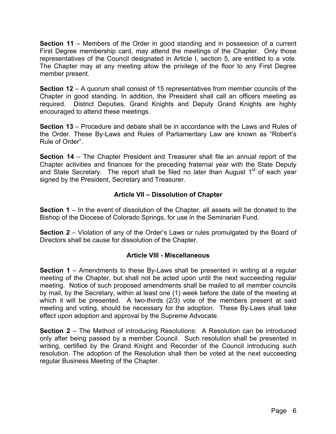**Section 11** – Members of the Order in good standing and in possession of a current First Degree membership card, may attend the meetings of the Chapter. Only those representatives of the Council designated in Article I, section 5, are entitled to a vote. The Chapter may at any meeting allow the privilege of the floor to any First Degree member present.

**Section 12** – A quorum shall consist of 15 representatives from member councils of the Chapter in good standing. In addition, the President shall call an officers meeting as required. District Deputies, Grand Knights and Deputy Grand Knights are highly encouraged to attend these meetings.

**Section 13** – Procedure and debate shall be in accordance with the Laws and Rules of the Order. These By-Laws and Rules of Parliamentary Law are known as "Robert's Rule of Order".

**Section 14** – The Chapter President and Treasurer shall file an annual report of the Chapter activities and finances for the preceding fraternal year with the State Deputy and State Secretary. The report shall be filed no later than August  $1<sup>st</sup>$  of each year signed by the President, Secretary and Treasurer.

#### **Article VII – Dissolution of Chapter**

**Section 1** – In the event of dissolution of the Chapter, all assets will be donated to the Bishop of the Diocese of Colorado Springs, for use in the Seminarian Fund.

**Section 2** – Violation of any of the Order's Laws or rules promulgated by the Board of Directors shall be cause for dissolution of the Chapter.

#### **Article VIII - Miscellaneous**

**Section 1** – Amendments to these By-Laws shall be presented in writing at a regular meeting of the Chapter, but shall not be acted upon until the next succeeding regular meeting. Notice of such proposed amendments shall be mailed to all member councils by mail, by the Secretary, within at least one (1) week before the date of the meeting at which it will be presented. A two-thirds (2/3) vote of the members present at said meeting and voting, should be necessary for the adoption. These By-Laws shall take effect upon adoption and approval by the Supreme Advocate.

**Section 2** – The Method of introducing Resolutions: A Resolution can be introduced only after being passed by a member Council. Such resolution shall be presented in writing, certified by the Grand Knight and Recorder of the Council introducing such resolution. The adoption of the Resolution shall then be voted at the next succeeding regular Business Meeting of the Chapter.